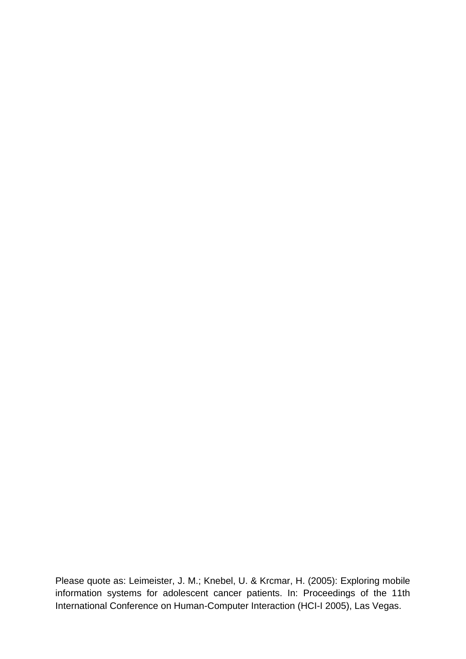Please quote as: Leimeister, J. M.; Knebel, U. & Krcmar, H. (2005): Exploring mobile information systems for adolescent cancer patients. In: Proceedings of the 11th International Conference on Human-Computer Interaction (HCI-I 2005), Las Vegas.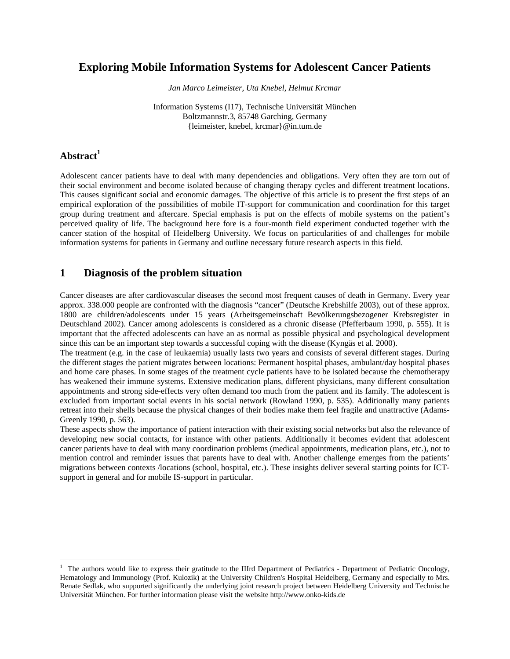## **Exploring Mobile Information Systems for Adolescent Cancer Patients**

*Jan Marco Leimeister, Uta Knebel, Helmut Krcmar* 

Information Systems (I17), Technische Universität München Boltzmannstr.3, 85748 Garching, Germany {leimeister, knebel, krcmar}@in.tum.de

## Abstract<sup>1</sup>

Adolescent cancer patients have to deal with many dependencies and obligations. Very often they are torn out of their social environment and become isolated because of changing therapy cycles and different treatment locations. This causes significant social and economic damages. The objective of this article is to present the first steps of an empirical exploration of the possibilities of mobile IT-support for communication and coordination for this target group during treatment and aftercare. Special emphasis is put on the effects of mobile systems on the patient's perceived quality of life. The background here fore is a four-month field experiment conducted together with the cancer station of the hospital of Heidelberg University. We focus on particularities of and challenges for mobile information systems for patients in Germany and outline necessary future research aspects in this field.

### **1 Diagnosis of the problem situation**

Cancer diseases are after cardiovascular diseases the second most frequent causes of death in Germany. Every year approx. 338.000 people are confronted with the diagnosis "cancer" (Deutsche Krebshilfe 2003), out of these approx. 1800 are children/adolescents under 15 years (Arbeitsgemeinschaft Bevölkerungsbezogener Krebsregister in Deutschland 2002). Cancer among adolescents is considered as a chronic disease (Pfefferbaum 1990, p. 555). It is important that the affected adolescents can have an as normal as possible physical and psychological development since this can be an important step towards a successful coping with the disease (Kyngäs et al. 2000).

The treatment (e.g. in the case of leukaemia) usually lasts two years and consists of several different stages. During the different stages the patient migrates between locations: Permanent hospital phases, ambulant/day hospital phases and home care phases. In some stages of the treatment cycle patients have to be isolated because the chemotherapy has weakened their immune systems. Extensive medication plans, different physicians, many different consultation appointments and strong side-effects very often demand too much from the patient and its family. The adolescent is excluded from important social events in his social network (Rowland 1990, p. 535). Additionally many patients retreat into their shells because the physical changes of their bodies make them feel fragile and unattractive (Adams-Greenly 1990, p. 563).

These aspects show the importance of patient interaction with their existing social networks but also the relevance of developing new social contacts, for instance with other patients. Additionally it becomes evident that adolescent cancer patients have to deal with many coordination problems (medical appointments, medication plans, etc.), not to mention control and reminder issues that parents have to deal with. Another challenge emerges from the patients' migrations between contexts /locations (school, hospital, etc.). These insights deliver several starting points for ICTsupport in general and for mobile IS-support in particular.

<sup>&</sup>lt;sup>1</sup> The authors would like to express their gratitude to the IIIrd Department of Pediatrics - Department of Pediatric Oncology, Hematology and Immunology (Prof. Kulozik) at the University Children's Hospital Heidelberg, Germany and especially to Mrs. Renate Sedlak, who supported significantly the underlying joint research project between Heidelberg University and Technische Universität München. For further information please visit the website http://www.onko-kids.de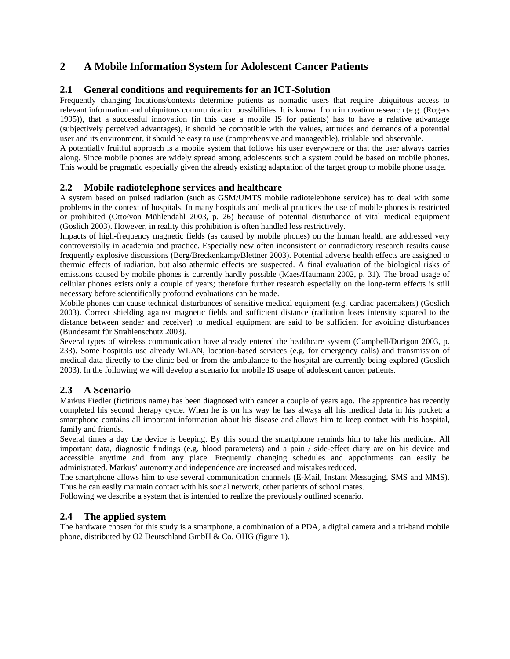# **2 A Mobile Information System for Adolescent Cancer Patients**

### **2.1 General conditions and requirements for an ICT-Solution**

Frequently changing locations/contexts determine patients as nomadic users that require ubiquitous access to relevant information and ubiquitous communication possibilities. It is known from innovation research (e.g. (Rogers 1995)), that a successful innovation (in this case a mobile IS for patients) has to have a relative advantage (subjectively perceived advantages), it should be compatible with the values, attitudes and demands of a potential user and its environment, it should be easy to use (comprehensive and manageable), trialable and observable.

A potentially fruitful approach is a mobile system that follows his user everywhere or that the user always carries along. Since mobile phones are widely spread among adolescents such a system could be based on mobile phones. This would be pragmatic especially given the already existing adaptation of the target group to mobile phone usage.

### **2.2 Mobile radiotelephone services and healthcare**

A system based on pulsed radiation (such as GSM/UMTS mobile radiotelephone service) has to deal with some problems in the context of hospitals. In many hospitals and medical practices the use of mobile phones is restricted or prohibited (Otto/von Mühlendahl 2003, p. 26) because of potential disturbance of vital medical equipment (Goslich 2003). However, in reality this prohibition is often handled less restrictively.

Impacts of high-frequency magnetic fields (as caused by mobile phones) on the human health are addressed very controversially in academia and practice. Especially new often inconsistent or contradictory research results cause frequently explosive discussions (Berg/Breckenkamp/Blettner 2003). Potential adverse health effects are assigned to thermic effects of radiation, but also athermic effects are suspected. A final evaluation of the biological risks of emissions caused by mobile phones is currently hardly possible (Maes/Haumann 2002, p. 31). The broad usage of cellular phones exists only a couple of years; therefore further research especially on the long-term effects is still necessary before scientifically profound evaluations can be made.

Mobile phones can cause technical disturbances of sensitive medical equipment (e.g. cardiac pacemakers) (Goslich 2003). Correct shielding against magnetic fields and sufficient distance (radiation loses intensity squared to the distance between sender and receiver) to medical equipment are said to be sufficient for avoiding disturbances (Bundesamt für Strahlenschutz 2003).

Several types of wireless communication have already entered the healthcare system (Campbell/Durigon 2003, p. 233). Some hospitals use already WLAN, location-based services (e.g. for emergency calls) and transmission of medical data directly to the clinic bed or from the ambulance to the hospital are currently being explored (Goslich 2003). In the following we will develop a scenario for mobile IS usage of adolescent cancer patients.

### **2.3 A Scenario**

Markus Fiedler (fictitious name) has been diagnosed with cancer a couple of years ago. The apprentice has recently completed his second therapy cycle. When he is on his way he has always all his medical data in his pocket: a smartphone contains all important information about his disease and allows him to keep contact with his hospital, family and friends.

Several times a day the device is beeping. By this sound the smartphone reminds him to take his medicine. All important data, diagnostic findings (e.g. blood parameters) and a pain / side-effect diary are on his device and accessible anytime and from any place. Frequently changing schedules and appointments can easily be administrated. Markus' autonomy and independence are increased and mistakes reduced.

The smartphone allows him to use several communication channels (E-Mail, Instant Messaging, SMS and MMS). Thus he can easily maintain contact with his social network, other patients of school mates.

Following we describe a system that is intended to realize the previously outlined scenario.

## **2.4 The applied system**

The hardware chosen for this study is a smartphone, a combination of a PDA, a digital camera and a tri-band mobile phone, distributed by O2 Deutschland GmbH & Co. OHG (figure 1).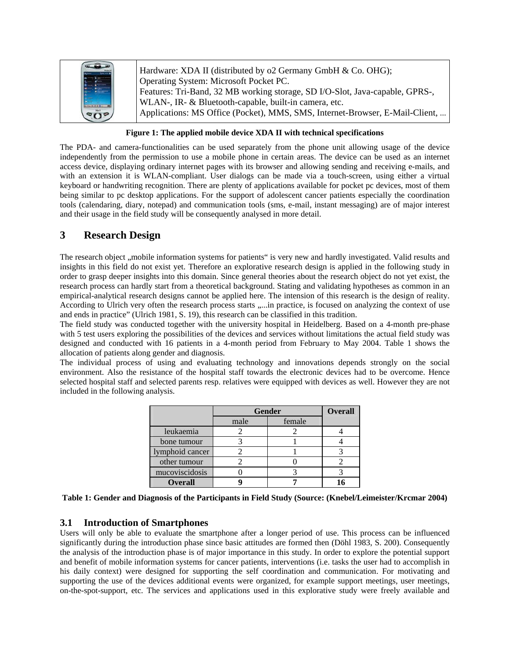| 56              | Hardware: XDA II (distributed by o2 Germany GmbH & Co. OHG);<br>Operating System: Microsoft Pocket PC.<br>Features: Tri-Band, 32 MB working storage, SD I/O-Slot, Java-capable, GPRS-,<br>WLAN-, IR- & Bluetooth-capable, built-in camera, etc. |
|-----------------|-------------------------------------------------------------------------------------------------------------------------------------------------------------------------------------------------------------------------------------------------|
| SO <sub>2</sub> | Applications: MS Office (Pocket), MMS, SMS, Internet-Browser, E-Mail-Client,                                                                                                                                                                    |

#### **Figure 1: The applied mobile device XDA II with technical specifications**

The PDA- and camera-functionalities can be used separately from the phone unit allowing usage of the device independently from the permission to use a mobile phone in certain areas. The device can be used as an internet access device, displaying ordinary internet pages with its browser and allowing sending and receiving e-mails, and with an extension it is WLAN-compliant. User dialogs can be made via a touch-screen, using either a virtual keyboard or handwriting recognition. There are plenty of applications available for pocket pc devices, most of them being similar to pc desktop applications. For the support of adolescent cancer patients especially the coordination tools (calendaring, diary, notepad) and communication tools (sms, e-mail, instant messaging) are of major interest and their usage in the field study will be consequently analysed in more detail.

## **3 Research Design**

The research object ,, mobile information systems for patients" is very new and hardly investigated. Valid results and insights in this field do not exist yet. Therefore an explorative research design is applied in the following study in order to grasp deeper insights into this domain. Since general theories about the research object do not yet exist, the research process can hardly start from a theoretical background. Stating and validating hypotheses as common in an empirical-analytical research designs cannot be applied here. The intension of this research is the design of reality. According to Ulrich very often the research process starts .....in practice, is focused on analyzing the context of use and ends in practice" (Ulrich 1981, S. 19), this research can be classified in this tradition.

The field study was conducted together with the university hospital in Heidelberg. Based on a 4-month pre-phase with 5 test users exploring the possibilities of the devices and services without limitations the actual field study was designed and conducted with 16 patients in a 4-month period from February to May 2004. Table 1 shows the allocation of patients along gender and diagnosis.

The individual process of using and evaluating technology and innovations depends strongly on the social environment. Also the resistance of the hospital staff towards the electronic devices had to be overcome. Hence selected hospital staff and selected parents resp. relatives were equipped with devices as well. However they are not included in the following analysis.

|                 | <b>Gender</b> | <b>Overall</b> |  |
|-----------------|---------------|----------------|--|
|                 | male          | female         |  |
| leukaemia       |               |                |  |
| bone tumour     |               |                |  |
| lymphoid cancer |               |                |  |
| other tumour    |               |                |  |
| mucoviscidosis  |               |                |  |
| <b>Overall</b>  |               |                |  |

**Table 1: Gender and Diagnosis of the Participants in Field Study (Source: (Knebel/Leimeister/Krcmar 2004)** 

#### **3.1 Introduction of Smartphones**

Users will only be able to evaluate the smartphone after a longer period of use. This process can be influenced significantly during the introduction phase since basic attitudes are formed then (Döhl 1983, S. 200). Consequently the analysis of the introduction phase is of major importance in this study. In order to explore the potential support and benefit of mobile information systems for cancer patients, interventions (i.e. tasks the user had to accomplish in his daily context) were designed for supporting the self coordination and communication. For motivating and supporting the use of the devices additional events were organized, for example support meetings, user meetings, on-the-spot-support, etc. The services and applications used in this explorative study were freely available and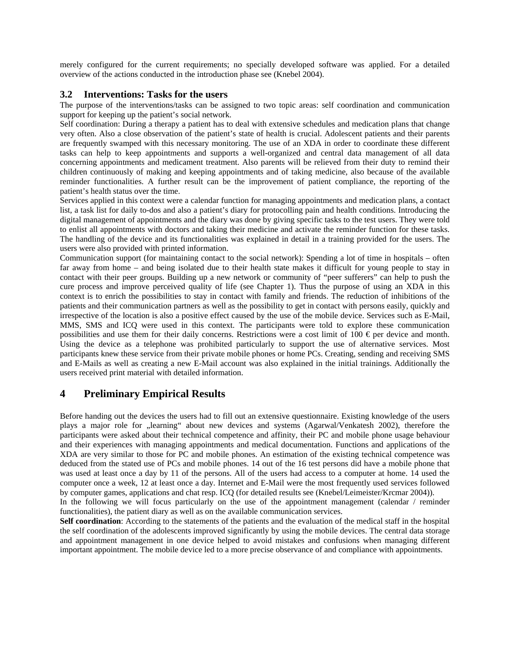merely configured for the current requirements; no specially developed software was applied. For a detailed overview of the actions conducted in the introduction phase see (Knebel 2004).

#### **3.2 Interventions: Tasks for the users**

The purpose of the interventions/tasks can be assigned to two topic areas: self coordination and communication support for keeping up the patient's social network.

Self coordination: During a therapy a patient has to deal with extensive schedules and medication plans that change very often. Also a close observation of the patient's state of health is crucial. Adolescent patients and their parents are frequently swamped with this necessary monitoring. The use of an XDA in order to coordinate these different tasks can help to keep appointments and supports a well-organized and central data management of all data concerning appointments and medicament treatment. Also parents will be relieved from their duty to remind their children continuously of making and keeping appointments and of taking medicine, also because of the available reminder functionalities. A further result can be the improvement of patient compliance, the reporting of the patient's health status over the time.

Services applied in this context were a calendar function for managing appointments and medication plans, a contact list, a task list for daily to-dos and also a patient's diary for protocolling pain and health conditions. Introducing the digital management of appointments and the diary was done by giving specific tasks to the test users. They were told to enlist all appointments with doctors and taking their medicine and activate the reminder function for these tasks. The handling of the device and its functionalities was explained in detail in a training provided for the users. The users were also provided with printed information.

Communication support (for maintaining contact to the social network): Spending a lot of time in hospitals – often far away from home – and being isolated due to their health state makes it difficult for young people to stay in contact with their peer groups. Building up a new network or community of "peer sufferers" can help to push the cure process and improve perceived quality of life (see Chapter 1). Thus the purpose of using an XDA in this context is to enrich the possibilities to stay in contact with family and friends. The reduction of inhibitions of the patients and their communication partners as well as the possibility to get in contact with persons easily, quickly and irrespective of the location is also a positive effect caused by the use of the mobile device. Services such as E-Mail, MMS, SMS and ICQ were used in this context. The participants were told to explore these communication possibilities and use them for their daily concerns. Restrictions were a cost limit of  $100 \epsilon$  per device and month. Using the device as a telephone was prohibited particularly to support the use of alternative services. Most participants knew these service from their private mobile phones or home PCs. Creating, sending and receiving SMS and E-Mails as well as creating a new E-Mail account was also explained in the initial trainings. Additionally the users received print material with detailed information.

# **4 Preliminary Empirical Results**

Before handing out the devices the users had to fill out an extensive questionnaire. Existing knowledge of the users plays a major role for "learning" about new devices and systems (Agarwal/Venkatesh 2002), therefore the participants were asked about their technical competence and affinity, their PC and mobile phone usage behaviour and their experiences with managing appointments and medical documentation. Functions and applications of the XDA are very similar to those for PC and mobile phones. An estimation of the existing technical competence was deduced from the stated use of PCs and mobile phones. 14 out of the 16 test persons did have a mobile phone that was used at least once a day by 11 of the persons. All of the users had access to a computer at home. 14 used the computer once a week, 12 at least once a day. Internet and E-Mail were the most frequently used services followed by computer games, applications and chat resp. ICQ (for detailed results see (Knebel/Leimeister/Krcmar 2004)).

In the following we will focus particularly on the use of the appointment management (calendar / reminder functionalities), the patient diary as well as on the available communication services.

**Self coordination**: According to the statements of the patients and the evaluation of the medical staff in the hospital the self coordination of the adolescents improved significantly by using the mobile devices. The central data storage and appointment management in one device helped to avoid mistakes and confusions when managing different important appointment. The mobile device led to a more precise observance of and compliance with appointments.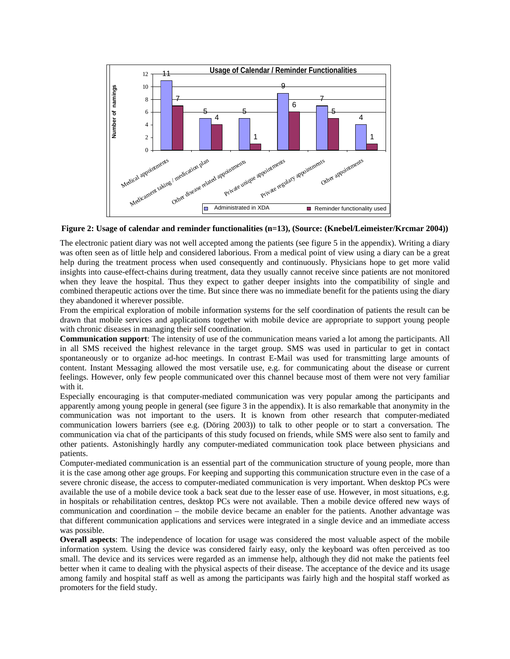

**Figure 2: Usage of calendar and reminder functionalities (n=13), (Source: (Knebel/Leimeister/Krcmar 2004))** 

The electronic patient diary was not well accepted among the patients (see figure 5 in the appendix). Writing a diary was often seen as of little help and considered laborious. From a medical point of view using a diary can be a great help during the treatment process when used consequently and continuously. Physicians hope to get more valid insights into cause-effect-chains during treatment, data they usually cannot receive since patients are not monitored when they leave the hospital. Thus they expect to gather deeper insights into the compatibility of single and combined therapeutic actions over the time. But since there was no immediate benefit for the patients using the diary they abandoned it wherever possible.

From the empirical exploration of mobile information systems for the self coordination of patients the result can be drawn that mobile services and applications together with mobile device are appropriate to support young people with chronic diseases in managing their self coordination.

**Communication support**: The intensity of use of the communication means varied a lot among the participants. All in all SMS received the highest relevance in the target group. SMS was used in particular to get in contact spontaneously or to organize ad-hoc meetings. In contrast E-Mail was used for transmitting large amounts of content. Instant Messaging allowed the most versatile use, e.g. for communicating about the disease or current feelings. However, only few people communicated over this channel because most of them were not very familiar with it.

Especially encouraging is that computer-mediated communication was very popular among the participants and apparently among young people in general (see figure 3 in the appendix). It is also remarkable that anonymity in the communication was not important to the users. It is known from other research that computer-mediated communication lowers barriers (see e.g. (Döring 2003)) to talk to other people or to start a conversation. The communication via chat of the participants of this study focused on friends, while SMS were also sent to family and other patients. Astonishingly hardly any computer-mediated communication took place between physicians and patients.

Computer-mediated communication is an essential part of the communication structure of young people, more than it is the case among other age groups. For keeping and supporting this communication structure even in the case of a severe chronic disease, the access to computer-mediated communication is very important. When desktop PCs were available the use of a mobile device took a back seat due to the lesser ease of use. However, in most situations, e.g. in hospitals or rehabilitation centres, desktop PCs were not available. Then a mobile device offered new ways of communication and coordination – the mobile device became an enabler for the patients. Another advantage was that different communication applications and services were integrated in a single device and an immediate access was possible.

**Overall aspects**: The independence of location for usage was considered the most valuable aspect of the mobile information system. Using the device was considered fairly easy, only the keyboard was often perceived as too small. The device and its services were regarded as an immense help, although they did not make the patients feel better when it came to dealing with the physical aspects of their disease. The acceptance of the device and its usage among family and hospital staff as well as among the participants was fairly high and the hospital staff worked as promoters for the field study.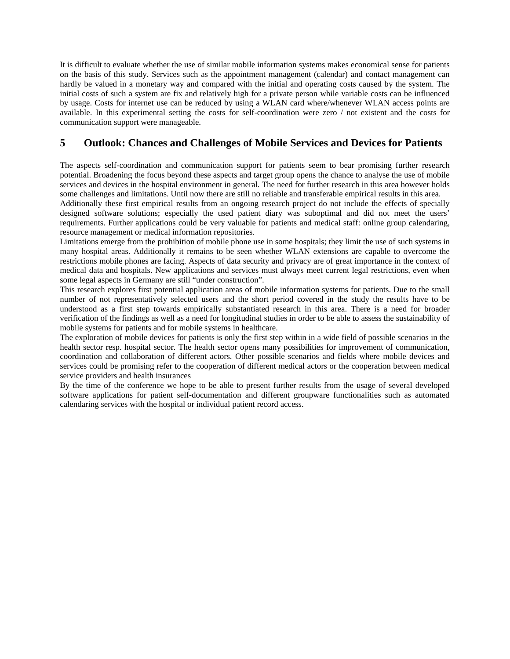It is difficult to evaluate whether the use of similar mobile information systems makes economical sense for patients on the basis of this study. Services such as the appointment management (calendar) and contact management can hardly be valued in a monetary way and compared with the initial and operating costs caused by the system. The initial costs of such a system are fix and relatively high for a private person while variable costs can be influenced by usage. Costs for internet use can be reduced by using a WLAN card where/whenever WLAN access points are available. In this experimental setting the costs for self-coordination were zero / not existent and the costs for communication support were manageable.

# **5 Outlook: Chances and Challenges of Mobile Services and Devices for Patients**

The aspects self-coordination and communication support for patients seem to bear promising further research potential. Broadening the focus beyond these aspects and target group opens the chance to analyse the use of mobile services and devices in the hospital environment in general. The need for further research in this area however holds some challenges and limitations. Until now there are still no reliable and transferable empirical results in this area.

Additionally these first empirical results from an ongoing research project do not include the effects of specially designed software solutions; especially the used patient diary was suboptimal and did not meet the users' requirements. Further applications could be very valuable for patients and medical staff: online group calendaring, resource management or medical information repositories.

Limitations emerge from the prohibition of mobile phone use in some hospitals; they limit the use of such systems in many hospital areas. Additionally it remains to be seen whether WLAN extensions are capable to overcome the restrictions mobile phones are facing. Aspects of data security and privacy are of great importance in the context of medical data and hospitals. New applications and services must always meet current legal restrictions, even when some legal aspects in Germany are still "under construction".

This research explores first potential application areas of mobile information systems for patients. Due to the small number of not representatively selected users and the short period covered in the study the results have to be understood as a first step towards empirically substantiated research in this area. There is a need for broader verification of the findings as well as a need for longitudinal studies in order to be able to assess the sustainability of mobile systems for patients and for mobile systems in healthcare.

The exploration of mobile devices for patients is only the first step within in a wide field of possible scenarios in the health sector resp. hospital sector. The health sector opens many possibilities for improvement of communication, coordination and collaboration of different actors. Other possible scenarios and fields where mobile devices and services could be promising refer to the cooperation of different medical actors or the cooperation between medical service providers and health insurances

By the time of the conference we hope to be able to present further results from the usage of several developed software applications for patient self-documentation and different groupware functionalities such as automated calendaring services with the hospital or individual patient record access.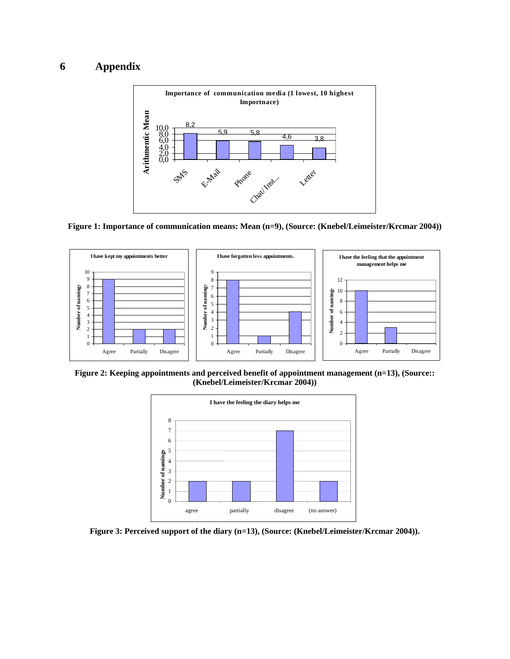# **6 Appendix**



**Figure 1: Importance of communication means: Mean (n=9), (Source: (Knebel/Leimeister/Krcmar 2004))** 



Figure 2: Keeping appointments and perceived benefit of appointment management (n=13), (Source:: **(Knebel/Leimeister/Krcmar 2004))** 



Figure 3: Perceived support of the diary (n=13), (Source: (Knebel/Leimeister/Krcmar 2004)).